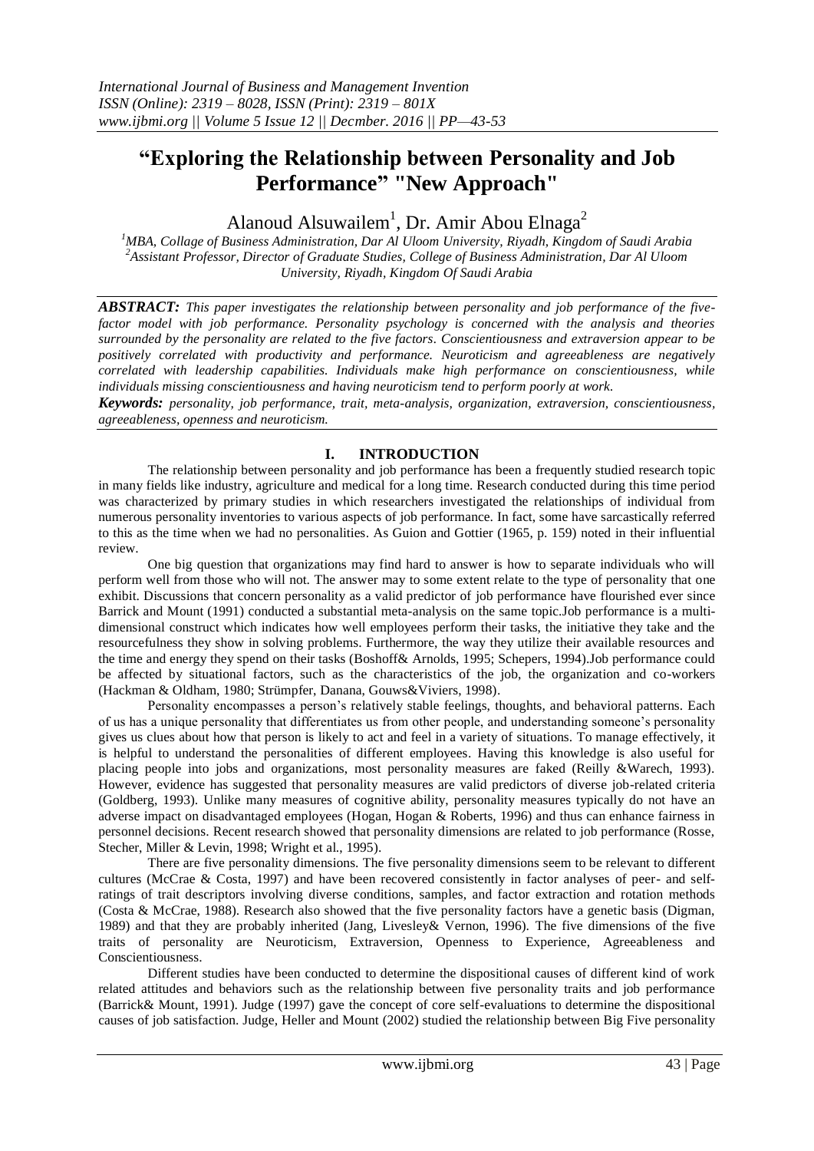# **"Exploring the Relationship between Personality and Job Performance" "New Approach"**

Alanoud Alsuwailem<sup>1</sup>, Dr. Amir Abou Elnaga<sup>2</sup>

*<sup>1</sup>MBA, Collage of Business Administration, Dar Al Uloom University, Riyadh, Kingdom of Saudi Arabia 2 Assistant Professor, Director of Graduate Studies, College of Business Administration, Dar Al Uloom University, Riyadh, Kingdom Of Saudi Arabia*

*ABSTRACT: This paper investigates the relationship between personality and job performance of the fivefactor model with job performance. Personality psychology is concerned with the analysis and theories surrounded by the personality are related to the five factors. Conscientiousness and extraversion appear to be positively correlated with productivity and performance. Neuroticism and agreeableness are negatively correlated with leadership capabilities. Individuals make high performance on conscientiousness, while individuals missing conscientiousness and having neuroticism tend to perform poorly at work.*

*Keywords: personality, job performance, trait, meta-analysis, organization, extraversion, conscientiousness, agreeableness, openness and neuroticism.*

# **I. INTRODUCTION**

The relationship between personality and job performance has been a frequently studied research topic in many fields like industry, agriculture and medical for a long time. Research conducted during this time period was characterized by primary studies in which researchers investigated the relationships of individual from numerous personality inventories to various aspects of job performance. In fact, some have sarcastically referred to this as the time when we had no personalities. As Guion and Gottier (1965, p. 159) noted in their influential review.

One big question that organizations may find hard to answer is how to separate individuals who will perform well from those who will not. The answer may to some extent relate to the type of personality that one exhibit. Discussions that concern personality as a valid predictor of job performance have flourished ever since Barrick and Mount (1991) conducted a substantial meta-analysis on the same topic.Job performance is a multidimensional construct which indicates how well employees perform their tasks, the initiative they take and the resourcefulness they show in solving problems. Furthermore, the way they utilize their available resources and the time and energy they spend on their tasks (Boshoff& Arnolds, 1995; Schepers, 1994).Job performance could be affected by situational factors, such as the characteristics of the job, the organization and co-workers (Hackman & Oldham, 1980; Strümpfer, Danana, Gouws&Viviers, 1998).

Personality encompasses a person"s relatively stable feelings, thoughts, and behavioral patterns. Each of us has a unique personality that differentiates us from other people, and understanding someone"s personality gives us clues about how that person is likely to act and feel in a variety of situations. To manage effectively, it is helpful to understand the personalities of different employees. Having this knowledge is also useful for placing people into jobs and organizations, most personality measures are faked (Reilly &Warech, 1993). However, evidence has suggested that personality measures are valid predictors of diverse job-related criteria (Goldberg, 1993). Unlike many measures of cognitive ability, personality measures typically do not have an adverse impact on disadvantaged employees (Hogan, Hogan & Roberts, 1996) and thus can enhance fairness in personnel decisions. Recent research showed that personality dimensions are related to job performance (Rosse, Stecher, Miller & Levin, 1998; Wright et al., 1995).

There are five personality dimensions. The five personality dimensions seem to be relevant to different cultures (McCrae & Costa, 1997) and have been recovered consistently in factor analyses of peer- and selfratings of trait descriptors involving diverse conditions, samples, and factor extraction and rotation methods (Costa & McCrae, 1988). Research also showed that the five personality factors have a genetic basis (Digman, 1989) and that they are probably inherited (Jang, Livesley& Vernon, 1996). The five dimensions of the five traits of personality are Neuroticism, Extraversion, Openness to Experience, Agreeableness and Conscientiousness.

Different studies have been conducted to determine the dispositional causes of different kind of work related attitudes and behaviors such as the relationship between five personality traits and job performance (Barrick& Mount, 1991). Judge (1997) gave the concept of core self-evaluations to determine the dispositional causes of job satisfaction. Judge, Heller and Mount (2002) studied the relationship between Big Five personality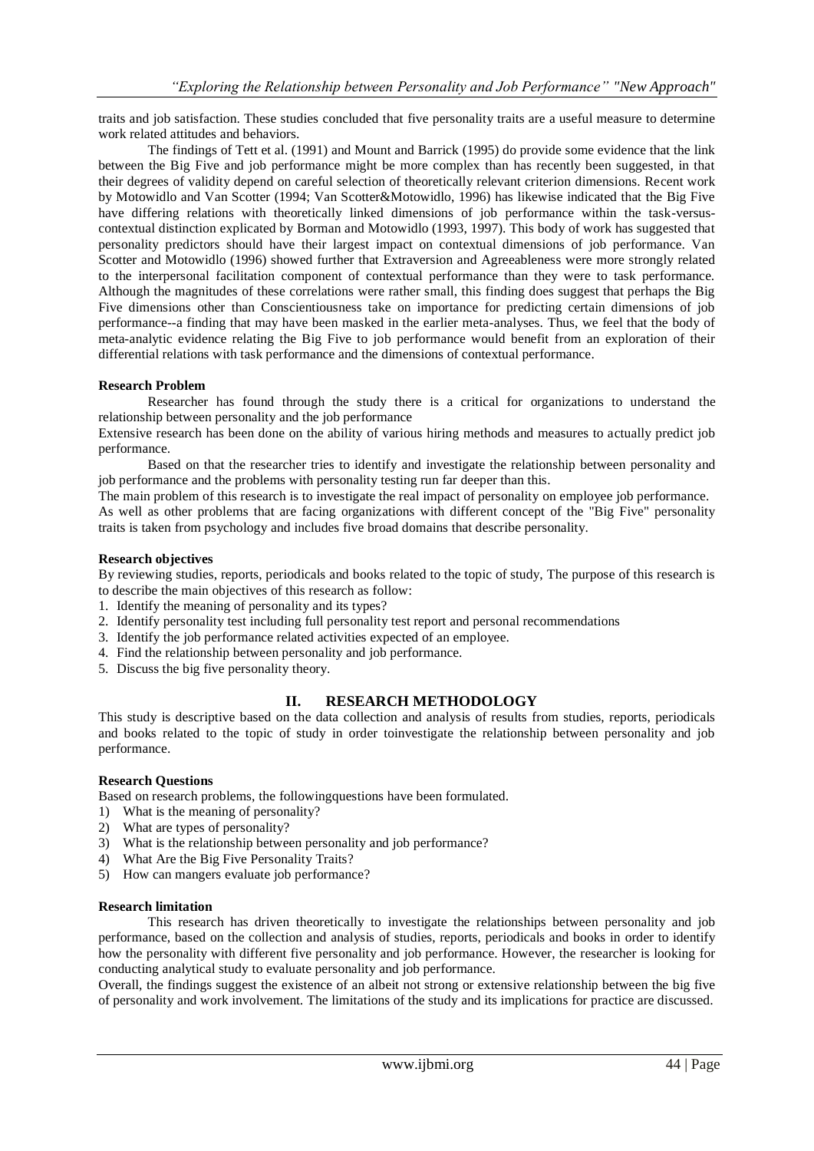traits and job satisfaction. These studies concluded that five personality traits are a useful measure to determine work related attitudes and behaviors.

The findings of Tett et al. (1991) and Mount and Barrick (1995) do provide some evidence that the link between the Big Five and job performance might be more complex than has recently been suggested, in that their degrees of validity depend on careful selection of theoretically relevant criterion dimensions. Recent work by Motowidlo and Van Scotter (1994; Van Scotter&Motowidlo, 1996) has likewise indicated that the Big Five have differing relations with theoretically linked dimensions of job performance within the task-versuscontextual distinction explicated by Borman and Motowidlo (1993, 1997). This body of work has suggested that personality predictors should have their largest impact on contextual dimensions of job performance. Van Scotter and Motowidlo (1996) showed further that Extraversion and Agreeableness were more strongly related to the interpersonal facilitation component of contextual performance than they were to task performance. Although the magnitudes of these correlations were rather small, this finding does suggest that perhaps the Big Five dimensions other than Conscientiousness take on importance for predicting certain dimensions of job performance--a finding that may have been masked in the earlier meta-analyses. Thus, we feel that the body of meta-analytic evidence relating the Big Five to job performance would benefit from an exploration of their differential relations with task performance and the dimensions of contextual performance.

### **Research Problem**

Researcher has found through the study there is a critical for organizations to understand the relationship between personality and the job performance

Extensive research has been done on the ability of various hiring methods and measures to actually predict job performance.

Based on that the researcher tries to identify and investigate the relationship between personality and job performance and the problems with personality testing run far deeper than this.

The main problem of this research is to investigate the real impact of personality on employee job performance. As well as other problems that are facing organizations with different concept of the "Big Five" personality traits is taken from psychology and includes five broad domains that describe personality.

### **Research objectives**

By reviewing studies, reports, periodicals and books related to the topic of study, The purpose of this research is to describe the main objectives of this research as follow:

- 1. Identify the meaning of personality and its types?
- 2. Identify personality test including full personality test report and personal recommendations
- 3. Identify the job performance related activities expected of an employee.
- 4. Find the relationship between personality and job performance.
- 5. Discuss the big five personality theory.

## **II. RESEARCH METHODOLOGY**

This study is descriptive based on the data collection and analysis of results from studies, reports, periodicals and books related to the topic of study in order toinvestigate the relationship between personality and job performance.

#### **Research Questions**

Based on research problems, the followingquestions have been formulated.

- 1) What is the meaning of personality?
- 2) What are types of personality?
- 3) What is the relationship between personality and job performance?
- 4) What Are the Big Five Personality Traits?
- 5) How can mangers evaluate job performance?

#### **Research limitation**

This research has driven theoretically to investigate the relationships between personality and job performance, based on the collection and analysis of studies, reports, periodicals and books in order to identify how the personality with different five personality and job performance. However, the researcher is looking for conducting analytical study to evaluate personality and job performance.

Overall, the findings suggest the existence of an albeit not strong or extensive relationship between the big five of personality and work involvement. The limitations of the study and its implications for practice are discussed.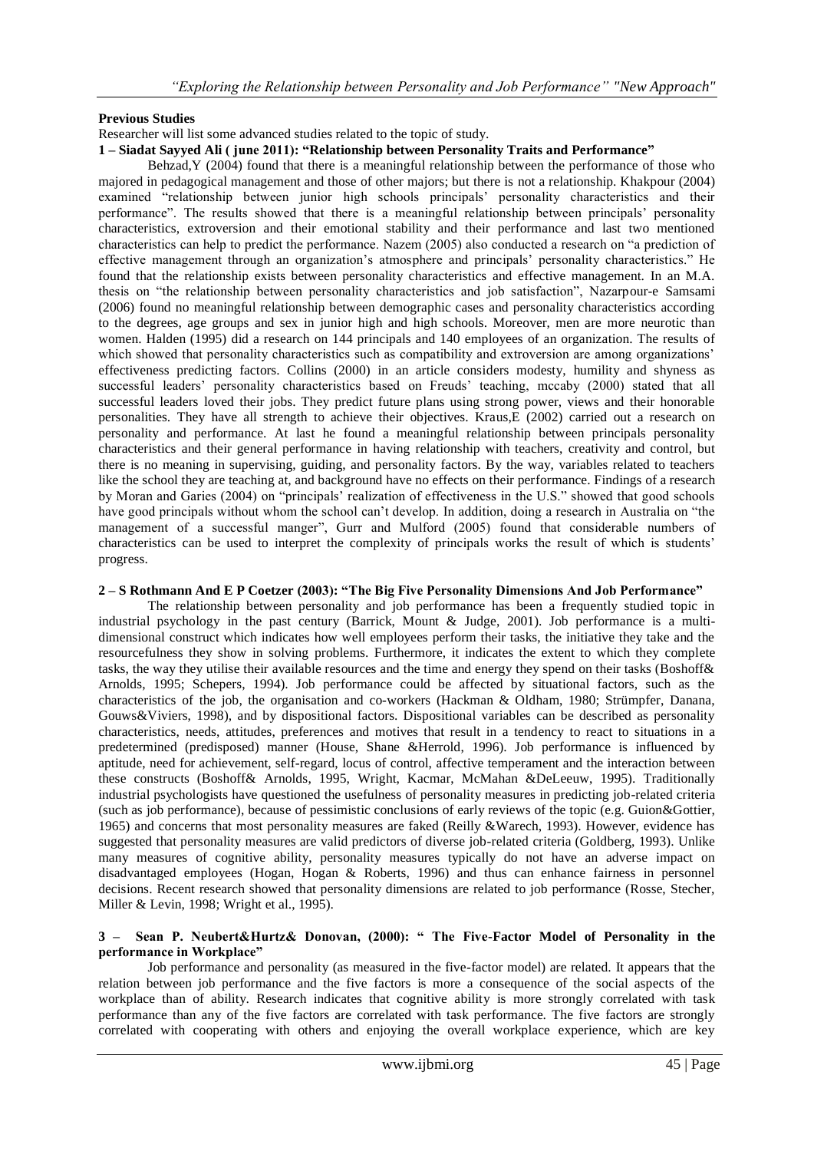# **Previous Studies**

Researcher will list some advanced studies related to the topic of study.

# **1 – Siadat Sayyed Ali ( june 2011): "Relationship between Personality Traits and Performance"**

Behzad,  $Y(2004)$  found that there is a meaningful relationship between the performance of those who majored in pedagogical management and those of other majors; but there is not a relationship. Khakpour (2004) examined "relationship between junior high schools principals" personality characteristics and their performance". The results showed that there is a meaningful relationship between principals" personality characteristics, extroversion and their emotional stability and their performance and last two mentioned characteristics can help to predict the performance. Nazem (2005) also conducted a research on "a prediction of effective management through an organization's atmosphere and principals' personality characteristics." He found that the relationship exists between personality characteristics and effective management. In an M.A. thesis on "the relationship between personality characteristics and job satisfaction", Nazarpour-e Samsami (2006) found no meaningful relationship between demographic cases and personality characteristics according to the degrees, age groups and sex in junior high and high schools. Moreover, men are more neurotic than women. Halden (1995) did a research on 144 principals and 140 employees of an organization. The results of which showed that personality characteristics such as compatibility and extroversion are among organizations' effectiveness predicting factors. Collins (2000) in an article considers modesty, humility and shyness as successful leaders' personality characteristics based on Freuds' teaching, mccaby (2000) stated that all successful leaders loved their jobs. They predict future plans using strong power, views and their honorable personalities. They have all strength to achieve their objectives. Kraus,E (2002) carried out a research on personality and performance. At last he found a meaningful relationship between principals personality characteristics and their general performance in having relationship with teachers, creativity and control, but there is no meaning in supervising, guiding, and personality factors. By the way, variables related to teachers like the school they are teaching at, and background have no effects on their performance. Findings of a research by Moran and Garies (2004) on "principals" realization of effectiveness in the U.S." showed that good schools have good principals without whom the school can"t develop. In addition, doing a research in Australia on "the management of a successful manger", Gurr and Mulford (2005) found that considerable numbers of characteristics can be used to interpret the complexity of principals works the result of which is students" progress.

# **2 – S Rothmann And E P Coetzer (2003): "The Big Five Personality Dimensions And Job Performance"**

The relationship between personality and job performance has been a frequently studied topic in industrial psychology in the past century (Barrick, Mount & Judge, 2001). Job performance is a multidimensional construct which indicates how well employees perform their tasks, the initiative they take and the resourcefulness they show in solving problems. Furthermore, it indicates the extent to which they complete tasks, the way they utilise their available resources and the time and energy they spend on their tasks (Boshoff& Arnolds, 1995; Schepers, 1994). Job performance could be affected by situational factors, such as the characteristics of the job, the organisation and co-workers (Hackman & Oldham, 1980; Strümpfer, Danana, Gouws&Viviers, 1998), and by dispositional factors. Dispositional variables can be described as personality characteristics, needs, attitudes, preferences and motives that result in a tendency to react to situations in a predetermined (predisposed) manner (House, Shane &Herrold, 1996). Job performance is influenced by aptitude, need for achievement, self-regard, locus of control, affective temperament and the interaction between these constructs (Boshoff& Arnolds, 1995, Wright, Kacmar, McMahan &DeLeeuw, 1995). Traditionally industrial psychologists have questioned the usefulness of personality measures in predicting job-related criteria (such as job performance), because of pessimistic conclusions of early reviews of the topic (e.g. Guion&Gottier, 1965) and concerns that most personality measures are faked (Reilly &Warech, 1993). However, evidence has suggested that personality measures are valid predictors of diverse job-related criteria (Goldberg, 1993). Unlike many measures of cognitive ability, personality measures typically do not have an adverse impact on disadvantaged employees (Hogan, Hogan & Roberts, 1996) and thus can enhance fairness in personnel decisions. Recent research showed that personality dimensions are related to job performance (Rosse, Stecher, Miller & Levin, 1998; Wright et al., 1995).

### **3 – Sean P. Neubert&Hurtz& Donovan, (2000): " The Five-Factor Model of Personality in the performance in Workplace"**

Job performance and personality (as measured in the five-factor model) are related. It appears that the relation between job performance and the five factors is more a consequence of the social aspects of the workplace than of ability. Research indicates that cognitive ability is more strongly correlated with task performance than any of the five factors are correlated with task performance. The five factors are strongly correlated with cooperating with others and enjoying the overall workplace experience, which are key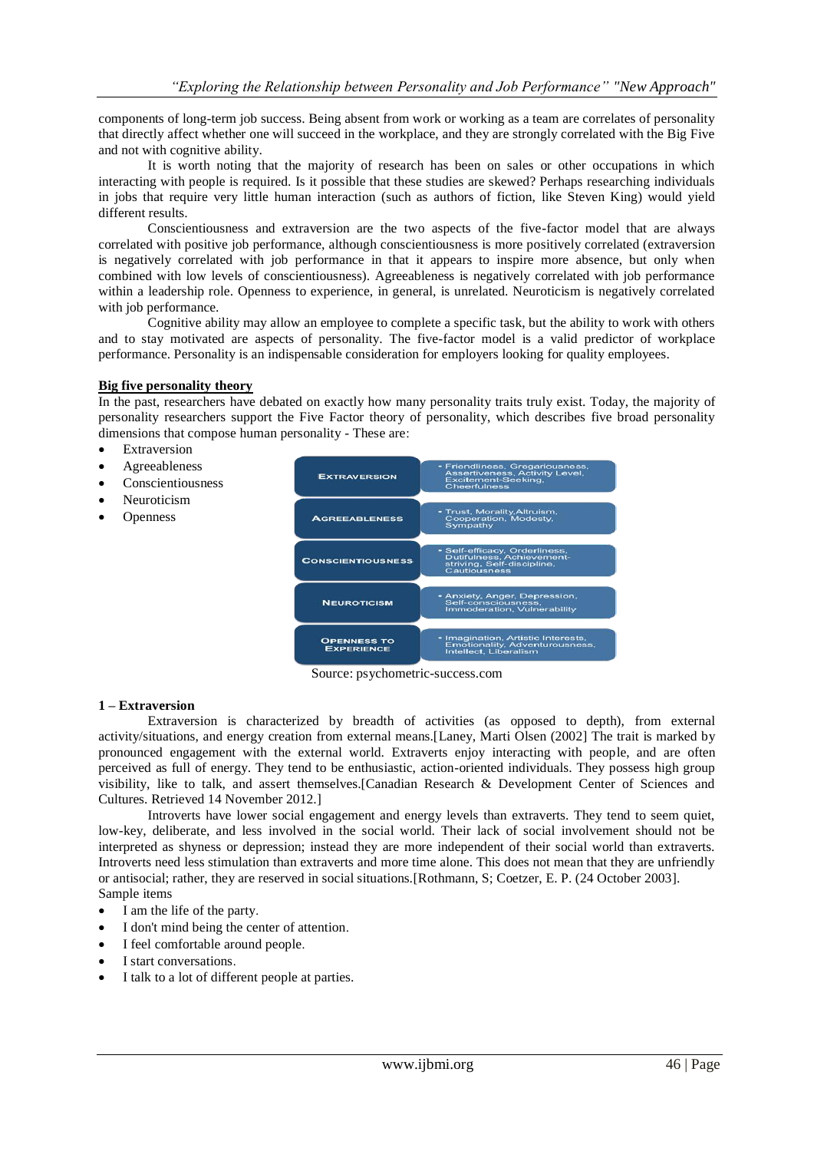components of long-term job success. Being absent from work or working as a team are correlates of personality that directly affect whether one will succeed in the workplace, and they are strongly correlated with the Big Five and not with cognitive ability.

It is worth noting that the majority of research has been on sales or other occupations in which interacting with people is required. Is it possible that these studies are skewed? Perhaps researching individuals in jobs that require very little human interaction (such as authors of fiction, like Steven King) would yield different results.

Conscientiousness and extraversion are the two aspects of the five-factor model that are always correlated with positive job performance, although conscientiousness is more positively correlated (extraversion is negatively correlated with job performance in that it appears to inspire more absence, but only when combined with low levels of conscientiousness). Agreeableness is negatively correlated with job performance within a leadership role. Openness to experience, in general, is unrelated. Neuroticism is negatively correlated with job performance.

Cognitive ability may allow an employee to complete a specific task, but the ability to work with others and to stay motivated are aspects of personality. The five-factor model is a valid predictor of workplace performance. Personality is an indispensable consideration for employers looking for quality employees.

#### **Big five personality theory**

In the past, researchers have debated on exactly how many personality traits truly exist. Today, the majority of personality researchers support the Five Factor theory of personality, which describes five broad personality dimensions that compose human personality - These are:

- Extraversion
- Agreeableness
- Conscientiousness
- Neuroticism
- **Openness**



Source: psychometric-success.com

#### **1 – Extraversion**

Extraversion is characterized by breadth of activities (as opposed to depth), from external activity/situations, and energy creation from external means.[Laney, Marti Olsen (2002] The trait is marked by pronounced engagement with the external world. Extraverts enjoy interacting with people, and are often perceived as full of energy. They tend to be enthusiastic, action-oriented individuals. They possess high group visibility, like to talk, and assert themselves.[Canadian Research & Development Center of Sciences and Cultures. Retrieved 14 November 2012.]

Introverts have lower social engagement and energy levels than extraverts. They tend to seem quiet, low-key, deliberate, and less involved in the social world. Their lack of social involvement should not be interpreted as shyness or depression; instead they are more independent of their social world than extraverts. Introverts need less stimulation than extraverts and more time alone. This does not mean that they are unfriendly or antisocial; rather, they are reserved in social situations.[Rothmann, S; Coetzer, E. P. (24 October 2003]. Sample items

- I am the life of the party.
- I don't mind being the center of attention.
- I feel comfortable around people.
- I start conversations.
- I talk to a lot of different people at parties.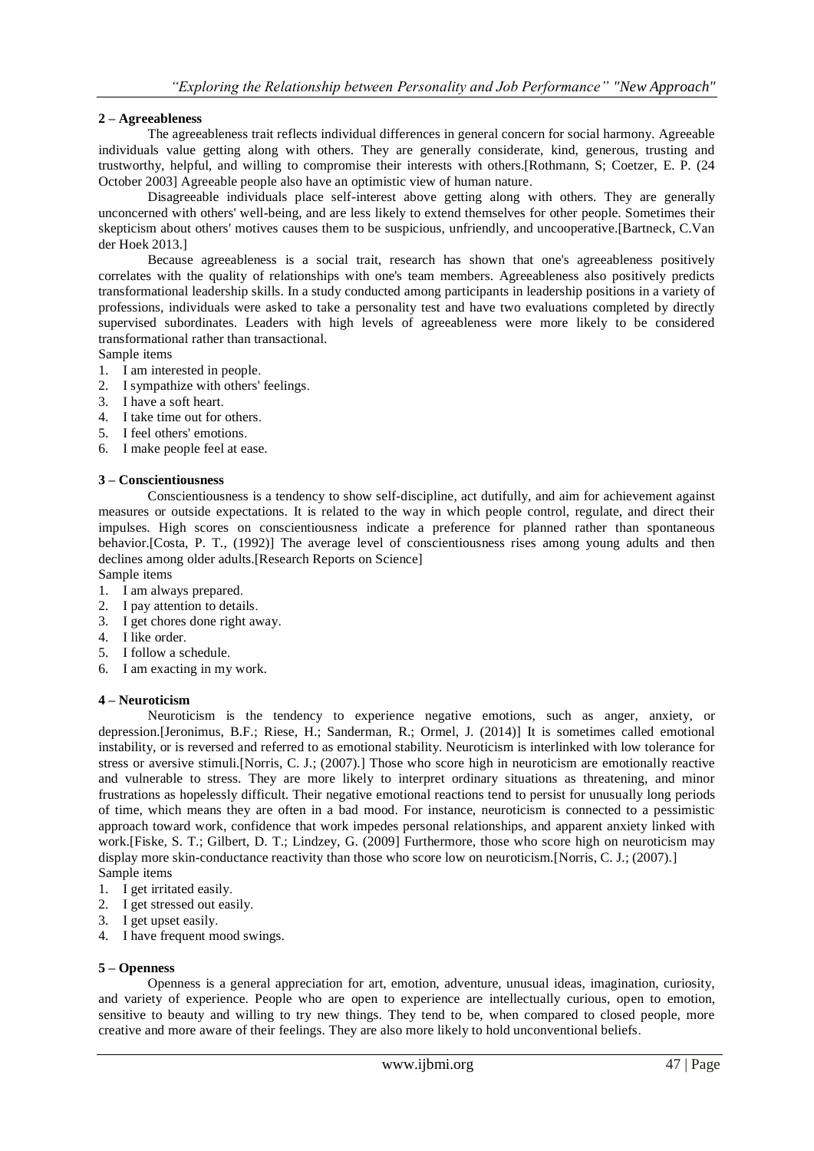### **2 – Agreeableness**

The agreeableness trait reflects individual differences in general concern for social harmony. Agreeable individuals value getting along with others. They are generally considerate, kind, generous, trusting and trustworthy, helpful, and willing to compromise their interests with others.[Rothmann, S; Coetzer, E. P. (24 October 2003] Agreeable people also have an optimistic view of human nature.

Disagreeable individuals place self-interest above getting along with others. They are generally unconcerned with others' well-being, and are less likely to extend themselves for other people. Sometimes their skepticism about others' motives causes them to be suspicious, unfriendly, and uncooperative.[Bartneck, C.Van der Hoek 2013.]

Because agreeableness is a social trait, research has shown that one's agreeableness positively correlates with the quality of relationships with one's team members. Agreeableness also positively predicts transformational leadership skills. In a study conducted among participants in leadership positions in a variety of professions, individuals were asked to take a personality test and have two evaluations completed by directly supervised subordinates. Leaders with high levels of agreeableness were more likely to be considered transformational rather than transactional.

- Sample items
- 1. I am interested in people.
- 2. I sympathize with others' feelings.
- 3. I have a soft heart.
- 4. I take time out for others.
- 5. I feel others' emotions.
- 6. I make people feel at ease.

#### **3 – Conscientiousness**

Conscientiousness is a tendency to show self-discipline, act dutifully, and aim for achievement against measures or outside expectations. It is related to the way in which people control, regulate, and direct their impulses. High scores on conscientiousness indicate a preference for planned rather than spontaneous behavior.[Costa, P. T., (1992)] The average level of conscientiousness rises among young adults and then declines among older adults.[Research Reports on Science]

- Sample items
- 1. I am always prepared.
- 2. I pay attention to details.
- 3. I get chores done right away.
- 4. I like order.
- 5. I follow a schedule.
- 6. I am exacting in my work.

#### **4 – Neuroticism**

Neuroticism is the tendency to experience negative emotions, such as anger, anxiety, or depression.[Jeronimus, B.F.; Riese, H.; Sanderman, R.; Ormel, J. (2014)] It is sometimes called emotional instability, or is reversed and referred to as emotional stability. Neuroticism is interlinked with low tolerance for stress or aversive stimuli.[Norris, C. J.; (2007).] Those who score high in neuroticism are emotionally reactive and vulnerable to stress. They are more likely to interpret ordinary situations as threatening, and minor frustrations as hopelessly difficult. Their negative emotional reactions tend to persist for unusually long periods of time, which means they are often in a bad mood. For instance, neuroticism is connected to a pessimistic approach toward work, confidence that work impedes personal relationships, and apparent anxiety linked with work.[Fiske, S. T.; Gilbert, D. T.; Lindzey, G. (2009] Furthermore, those who score high on neuroticism may display more skin-conductance reactivity than those who score low on neuroticism. [Norris, C. J.; (2007).] Sample items

- 1. I get irritated easily.
- 2. I get stressed out easily.
- 3. I get upset easily.
- 4. I have frequent mood swings.

## **5 – Openness**

Openness is a general appreciation for art, emotion, adventure, unusual ideas, imagination, curiosity, and variety of experience. People who are open to experience are intellectually curious, open to emotion, sensitive to beauty and willing to try new things. They tend to be, when compared to closed people, more creative and more aware of their feelings. They are also more likely to hold unconventional beliefs.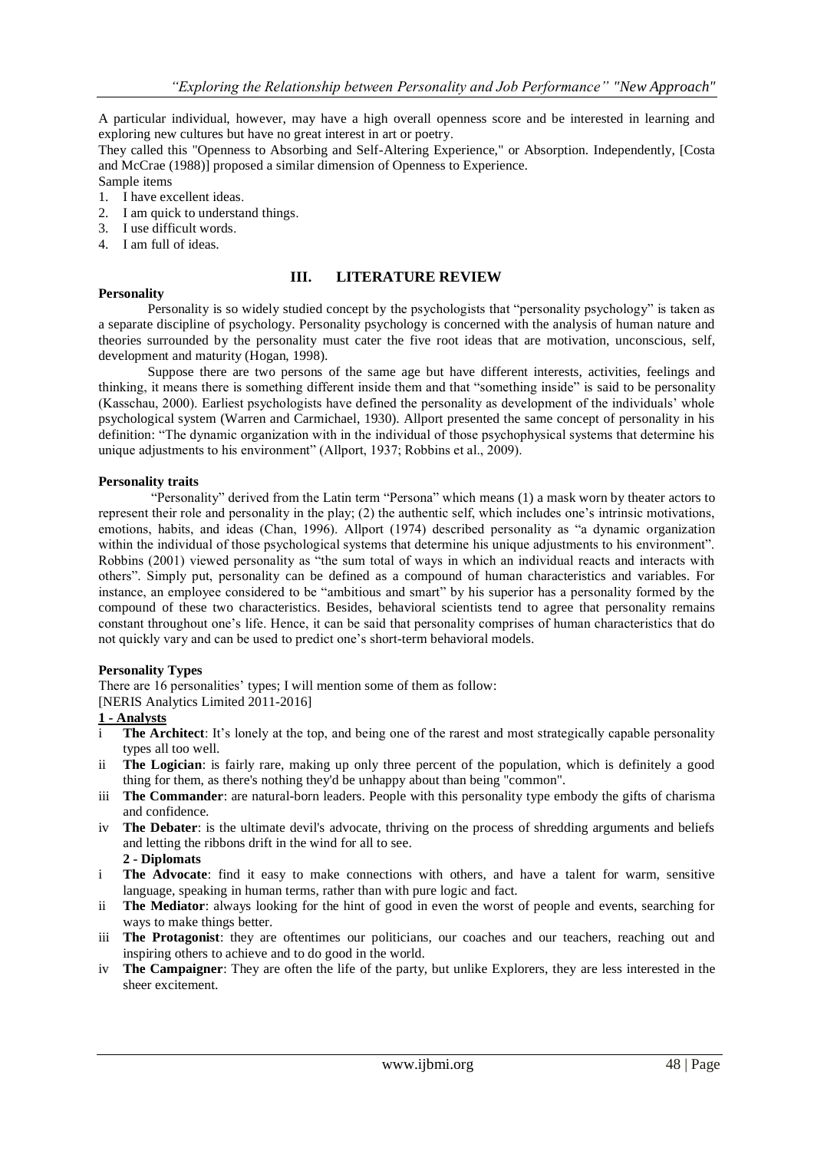A particular individual, however, may have a high overall openness score and be interested in learning and exploring new cultures but have no great interest in art or poetry.

They called this "Openness to Absorbing and Self-Altering Experience," or Absorption. Independently, [Costa and McCrae (1988)] proposed a similar dimension of Openness to Experience.

Sample items

- 1. I have excellent ideas.
- 2. I am quick to understand things.
- 3. I use difficult words.
- 4. I am full of ideas.

### **Personality**

## **III. LITERATURE REVIEW**

Personality is so widely studied concept by the psychologists that "personality psychology" is taken as a separate discipline of psychology. Personality psychology is concerned with the analysis of human nature and theories surrounded by the personality must cater the five root ideas that are motivation, unconscious, self, development and maturity (Hogan, 1998).

Suppose there are two persons of the same age but have different interests, activities, feelings and thinking, it means there is something different inside them and that "something inside" is said to be personality (Kasschau, 2000). Earliest psychologists have defined the personality as development of the individuals" whole psychological system (Warren and Carmichael, 1930). Allport presented the same concept of personality in his definition: "The dynamic organization with in the individual of those psychophysical systems that determine his unique adjustments to his environment" (Allport, 1937; Robbins et al., 2009).

### **Personality traits**

"Personality" derived from the Latin term "Persona" which means (1) a mask worn by theater actors to represent their role and personality in the play; (2) the authentic self, which includes one"s intrinsic motivations, emotions, habits, and ideas (Chan, 1996). Allport (1974) described personality as "a dynamic organization within the individual of those psychological systems that determine his unique adjustments to his environment". Robbins (2001) viewed personality as "the sum total of ways in which an individual reacts and interacts with others". Simply put, personality can be defined as a compound of human characteristics and variables. For instance, an employee considered to be "ambitious and smart" by his superior has a personality formed by the compound of these two characteristics. Besides, behavioral scientists tend to agree that personality remains constant throughout one"s life. Hence, it can be said that personality comprises of human characteristics that do not quickly vary and can be used to predict one"s short-term behavioral models.

#### **Personality Types**

There are 16 personalities' types; I will mention some of them as follow: [NERIS Analytics Limited 2011-2016]

## **1 - Analysts**

- i **The Architect**: It's lonely at the top, and being one of the rarest and most strategically capable personality types all too well.
- ii **The Logician**: is fairly rare, making up only three percent of the population, which is definitely a good thing for them, as there's nothing they'd be unhappy about than being "common".
- iii **The Commander**: are natural-born leaders. People with this personality type embody the gifts of charisma and confidence.
- iv **The Debater**: is the ultimate devil's advocate, thriving on the process of shredding arguments and beliefs and letting the ribbons drift in the wind for all to see.

**2 - Diplomats**

- i **The Advocate**: find it easy to make connections with others, and have a talent for warm, sensitive language, speaking in human terms, rather than with pure logic and fact.
- ii **The Mediator**: always looking for the hint of good in even the worst of people and events, searching for ways to make things better.
- iii **The Protagonist**: they are oftentimes our politicians, our coaches and our teachers, reaching out and inspiring others to achieve and to do good in the world.
- iv **The Campaigner**: They are often the life of the party, but unlike Explorers, they are less interested in the sheer excitement.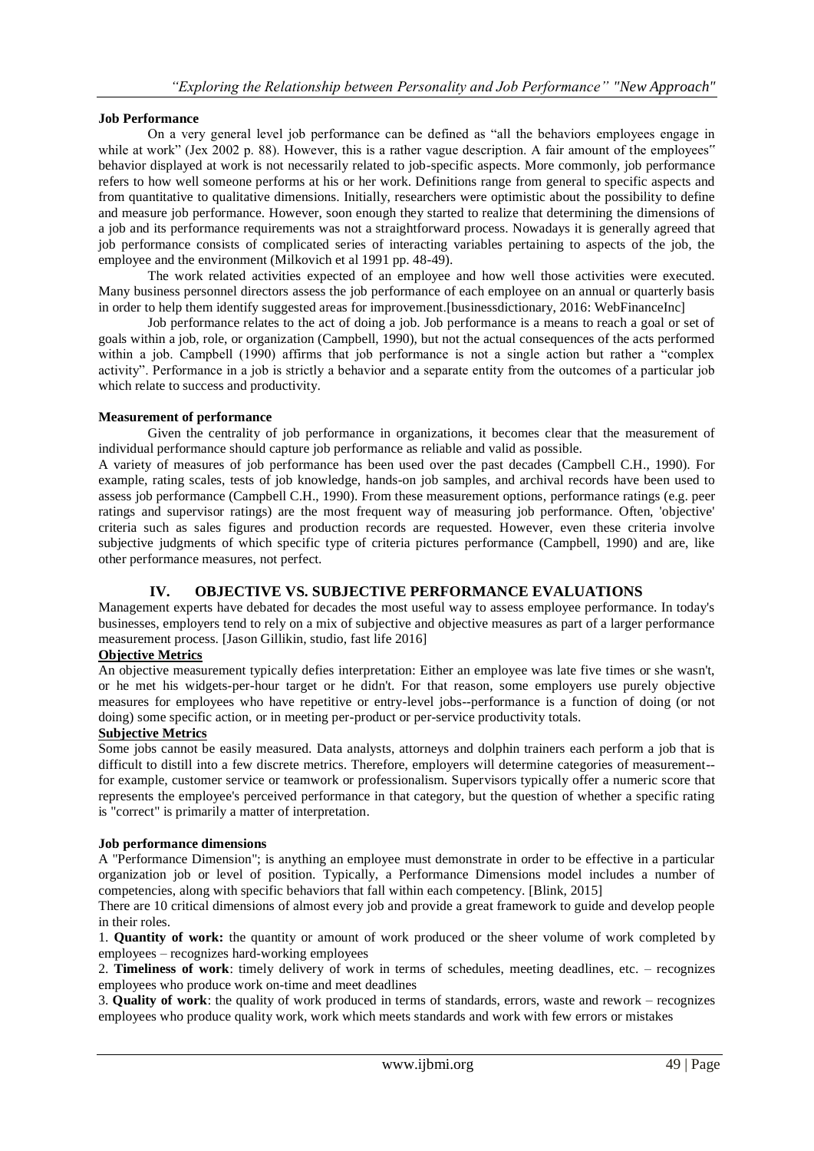# **Job Performance**

On a very general level job performance can be defined as "all the behaviors employees engage in while at work" (Jex 2002 p. 88). However, this is a rather vague description. A fair amount of the employees" behavior displayed at work is not necessarily related to job-specific aspects. More commonly, job performance refers to how well someone performs at his or her work. Definitions range from general to specific aspects and from quantitative to qualitative dimensions. Initially, researchers were optimistic about the possibility to define and measure job performance. However, soon enough they started to realize that determining the dimensions of a job and its performance requirements was not a straightforward process. Nowadays it is generally agreed that job performance consists of complicated series of interacting variables pertaining to aspects of the job, the employee and the environment (Milkovich et al 1991 pp. 48-49).

The work related activities expected of an employee and how well those activities were executed. Many business personnel directors assess the job performance of each employee on an annual or quarterly basis in order to help them identify suggested areas for improvement.[businessdictionary, 2016: WebFinanceInc]

Job performance relates to the act of doing a job. Job performance is a means to reach a goal or set of goals within a job, role, or organization (Campbell, 1990), but not the actual consequences of the acts performed within a job. Campbell (1990) affirms that job performance is not a single action but rather a "complex" activity". Performance in a job is strictly a behavior and a separate entity from the outcomes of a particular job which relate to success and productivity.

## **Measurement of performance**

Given the centrality of job performance in organizations, it becomes clear that the measurement of individual performance should capture job performance as reliable and valid as possible.

A variety of measures of job performance has been used over the past decades (Campbell C.H., 1990). For example, rating scales, tests of job knowledge, hands-on job samples, and archival records have been used to assess job performance (Campbell C.H., 1990). From these measurement options, performance ratings (e.g. peer ratings and supervisor ratings) are the most frequent way of measuring job performance. Often, 'objective' criteria such as sales figures and production records are requested. However, even these criteria involve subjective judgments of which specific type of criteria pictures performance (Campbell, 1990) and are, like other performance measures, not perfect.

# **IV. OBJECTIVE VS. SUBJECTIVE PERFORMANCE EVALUATIONS**

Management experts have debated for decades the most useful way to assess employee performance. In today's businesses, employers tend to rely on a mix of subjective and objective measures as part of a larger performance measurement process. [Jason Gillikin, studio, fast life 2016]

## **Objective Metrics**

An objective measurement typically defies interpretation: Either an employee was late five times or she wasn't, or he met his widgets-per-hour target or he didn't. For that reason, some employers use purely objective measures for employees who have repetitive or entry-level jobs--performance is a function of doing (or not doing) some specific action, or in meeting per-product or per-service productivity totals.

# **Subjective Metrics**

Some jobs cannot be easily measured. Data analysts, attorneys and dolphin trainers each perform a job that is difficult to distill into a few discrete metrics. Therefore, employers will determine categories of measurement- for example, customer service or teamwork or professionalism. Supervisors typically offer a numeric score that represents the employee's perceived performance in that category, but the question of whether a specific rating is "correct" is primarily a matter of interpretation.

## **Job performance dimensions**

A "Performance Dimension"; is anything an employee must demonstrate in order to be effective in a particular organization job or level of position. Typically, a Performance Dimensions model includes a number of competencies, along with specific behaviors that fall within each competency. [Blink, 2015]

There are 10 critical dimensions of almost every job and provide a great framework to guide and develop people in their roles.

1. **Quantity of work:** the quantity or amount of work produced or the sheer volume of work completed by employees – recognizes hard-working employees

2. **Timeliness of work**: timely delivery of work in terms of schedules, meeting deadlines, etc. – recognizes employees who produce work on-time and meet deadlines

3. **Quality of work**: the quality of work produced in terms of standards, errors, waste and rework – recognizes employees who produce quality work, work which meets standards and work with few errors or mistakes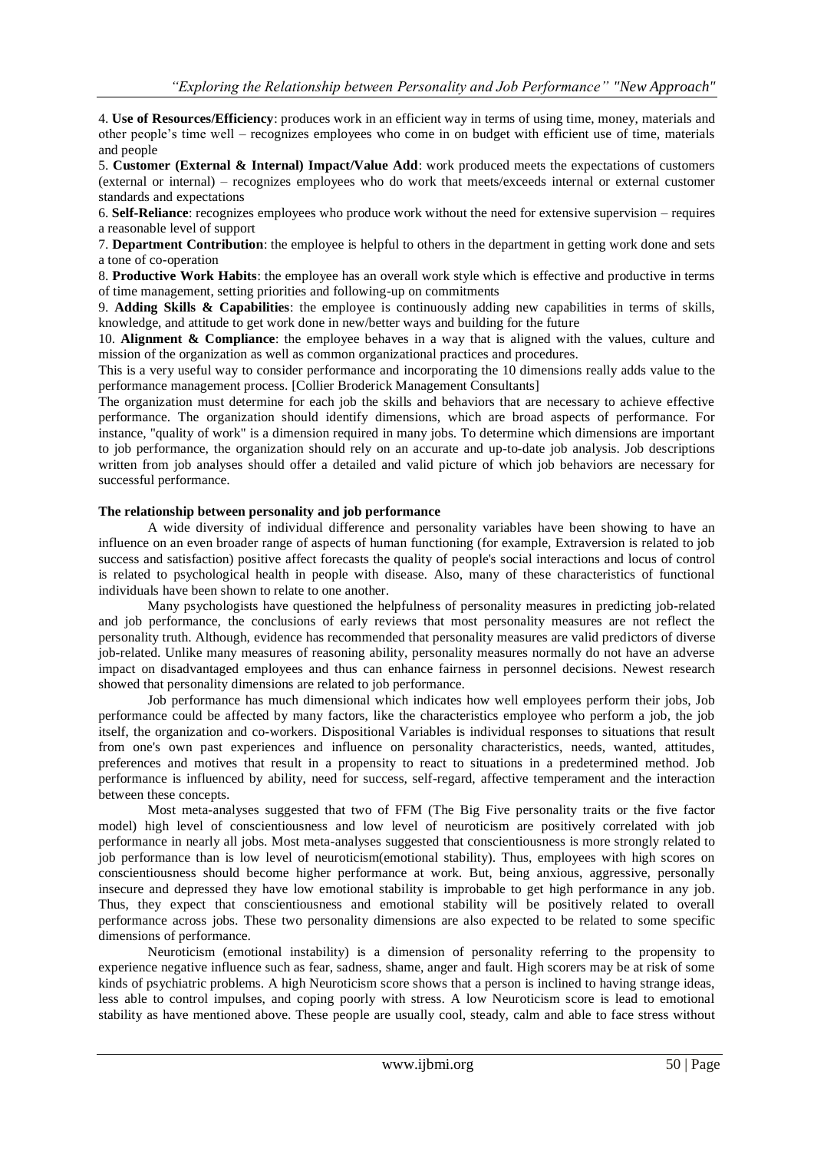4. **Use of Resources/Efficiency**: produces work in an efficient way in terms of using time, money, materials and other people"s time well – recognizes employees who come in on budget with efficient use of time, materials and people

5. **Customer (External & Internal) Impact/Value Add**: work produced meets the expectations of customers (external or internal) – recognizes employees who do work that meets/exceeds internal or external customer standards and expectations

6. **Self-Reliance**: recognizes employees who produce work without the need for extensive supervision – requires a reasonable level of support

7. **Department Contribution**: the employee is helpful to others in the department in getting work done and sets a tone of co-operation

8. **Productive Work Habits**: the employee has an overall work style which is effective and productive in terms of time management, setting priorities and following-up on commitments

9. **Adding Skills & Capabilities**: the employee is continuously adding new capabilities in terms of skills, knowledge, and attitude to get work done in new/better ways and building for the future

10. **Alignment & Compliance**: the employee behaves in a way that is aligned with the values, culture and mission of the organization as well as common organizational practices and procedures.

This is a very useful way to consider performance and incorporating the 10 dimensions really adds value to the performance management process. [Collier Broderick Management Consultants]

The organization must determine for each job the skills and behaviors that are necessary to achieve effective performance. The organization should identify dimensions, which are broad aspects of performance. For instance, "quality of work" is a dimension required in many jobs. To determine which dimensions are important to job performance, the organization should rely on an accurate and up-to-date job analysis. Job descriptions written from job analyses should offer a detailed and valid picture of which job behaviors are necessary for successful performance.

### **The relationship between personality and job performance**

A wide diversity of individual difference and personality variables have been showing to have an influence on an even broader range of aspects of human functioning (for example, Extraversion is related to job success and satisfaction) positive affect forecasts the quality of people's social interactions and locus of control is related to psychological health in people with disease. Also, many of these characteristics of functional individuals have been shown to relate to one another.

Many psychologists have questioned the helpfulness of personality measures in predicting job-related and job performance, the conclusions of early reviews that most personality measures are not reflect the personality truth. Although, evidence has recommended that personality measures are valid predictors of diverse job-related. Unlike many measures of reasoning ability, personality measures normally do not have an adverse impact on disadvantaged employees and thus can enhance fairness in personnel decisions. Newest research showed that personality dimensions are related to job performance.

Job performance has much dimensional which indicates how well employees perform their jobs, Job performance could be affected by many factors, like the characteristics employee who perform a job, the job itself, the organization and co-workers. Dispositional Variables is individual responses to situations that result from one's own past experiences and influence on personality characteristics, needs, wanted, attitudes, preferences and motives that result in a propensity to react to situations in a predetermined method. Job performance is influenced by ability, need for success, self-regard, affective temperament and the interaction between these concepts.

Most meta-analyses suggested that two of FFM (The Big Five personality traits or the five factor model) high level of conscientiousness and low level of neuroticism are positively correlated with job performance in nearly all jobs. Most meta-analyses suggested that conscientiousness is more strongly related to job performance than is low level of neuroticism(emotional stability). Thus, employees with high scores on conscientiousness should become higher performance at work. But, being anxious, aggressive, personally insecure and depressed they have low emotional stability is improbable to get high performance in any job. Thus, they expect that conscientiousness and emotional stability will be positively related to overall performance across jobs. These two personality dimensions are also expected to be related to some specific dimensions of performance.

Neuroticism (emotional instability) is a dimension of personality referring to the propensity to experience negative influence such as fear, sadness, shame, anger and fault. High scorers may be at risk of some kinds of psychiatric problems. A high Neuroticism score shows that a person is inclined to having strange ideas, less able to control impulses, and coping poorly with stress. A low Neuroticism score is lead to emotional stability as have mentioned above. These people are usually cool, steady, calm and able to face stress without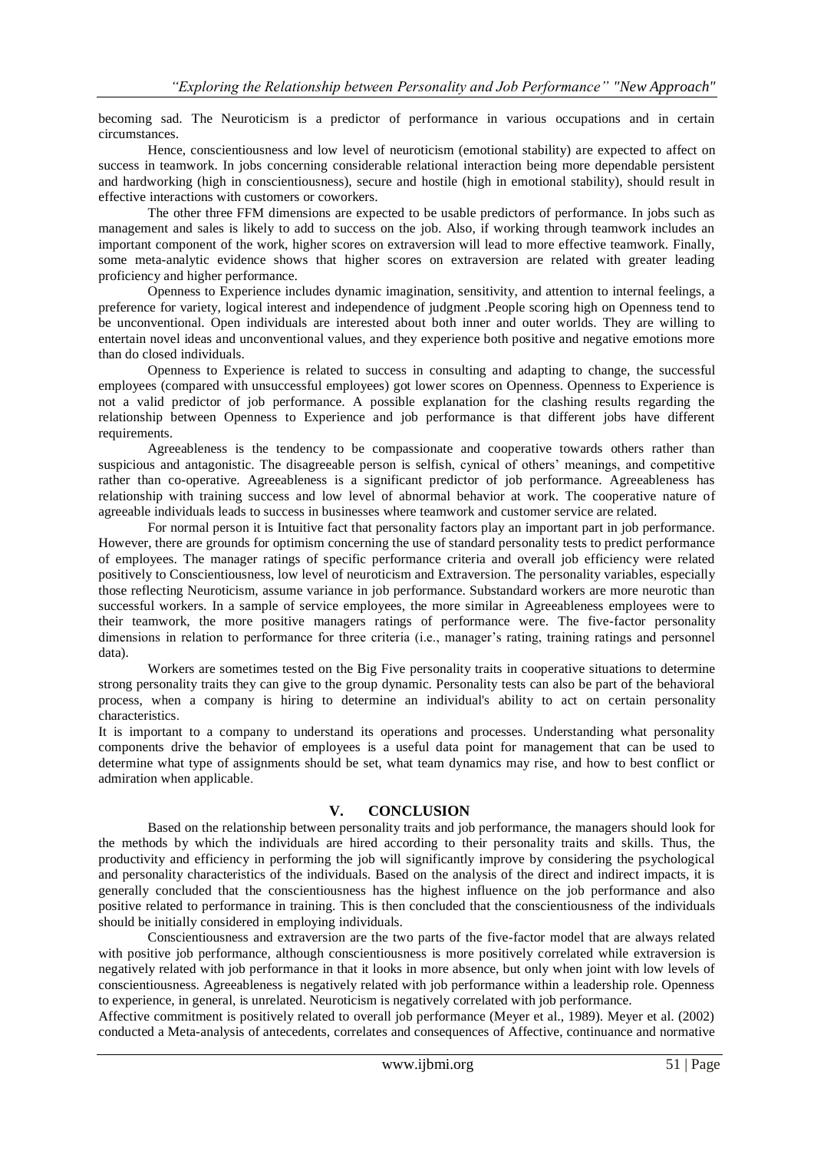becoming sad. The Neuroticism is a predictor of performance in various occupations and in certain circumstances.

Hence, conscientiousness and low level of neuroticism (emotional stability) are expected to affect on success in teamwork. In jobs concerning considerable relational interaction being more dependable persistent and hardworking (high in conscientiousness), secure and hostile (high in emotional stability), should result in effective interactions with customers or coworkers.

The other three FFM dimensions are expected to be usable predictors of performance. In jobs such as management and sales is likely to add to success on the job. Also, if working through teamwork includes an important component of the work, higher scores on extraversion will lead to more effective teamwork. Finally, some meta-analytic evidence shows that higher scores on extraversion are related with greater leading proficiency and higher performance.

Openness to Experience includes dynamic imagination, sensitivity, and attention to internal feelings, a preference for variety, logical interest and independence of judgment .People scoring high on Openness tend to be unconventional. Open individuals are interested about both inner and outer worlds. They are willing to entertain novel ideas and unconventional values, and they experience both positive and negative emotions more than do closed individuals.

Openness to Experience is related to success in consulting and adapting to change, the successful employees (compared with unsuccessful employees) got lower scores on Openness. Openness to Experience is not a valid predictor of job performance. A possible explanation for the clashing results regarding the relationship between Openness to Experience and job performance is that different jobs have different requirements.

Agreeableness is the tendency to be compassionate and cooperative towards others rather than suspicious and antagonistic. The disagreeable person is selfish, cynical of others" meanings, and competitive rather than co-operative. Agreeableness is a significant predictor of job performance. Agreeableness has relationship with training success and low level of abnormal behavior at work. The cooperative nature of agreeable individuals leads to success in businesses where teamwork and customer service are related.

For normal person it is Intuitive fact that personality factors play an important part in job performance. However, there are grounds for optimism concerning the use of standard personality tests to predict performance of employees. The manager ratings of specific performance criteria and overall job efficiency were related positively to Conscientiousness, low level of neuroticism and Extraversion. The personality variables, especially those reflecting Neuroticism, assume variance in job performance. Substandard workers are more neurotic than successful workers. In a sample of service employees, the more similar in Agreeableness employees were to their teamwork, the more positive managers ratings of performance were. The five-factor personality dimensions in relation to performance for three criteria (i.e., manager's rating, training ratings and personnel data).

Workers are sometimes tested on the Big Five personality traits in cooperative situations to determine strong personality traits they can give to the group dynamic. Personality tests can also be part of the behavioral process, when a company is hiring to determine an individual's ability to act on certain personality characteristics.

It is important to a company to understand its operations and processes. Understanding what personality components drive the behavior of employees is a useful data point for management that can be used to determine what type of assignments should be set, what team dynamics may rise, and how to best conflict or admiration when applicable.

# **V. CONCLUSION**

Based on the relationship between personality traits and job performance, the managers should look for the methods by which the individuals are hired according to their personality traits and skills. Thus, the productivity and efficiency in performing the job will significantly improve by considering the psychological and personality characteristics of the individuals. Based on the analysis of the direct and indirect impacts, it is generally concluded that the conscientiousness has the highest influence on the job performance and also positive related to performance in training. This is then concluded that the conscientiousness of the individuals should be initially considered in employing individuals.

Conscientiousness and extraversion are the two parts of the five-factor model that are always related with positive job performance, although conscientiousness is more positively correlated while extraversion is negatively related with job performance in that it looks in more absence, but only when joint with low levels of conscientiousness. Agreeableness is negatively related with job performance within a leadership role. Openness to experience, in general, is unrelated. Neuroticism is negatively correlated with job performance.

Affective commitment is positively related to overall job performance (Meyer et al., 1989). Meyer et al. (2002) conducted a Meta-analysis of antecedents, correlates and consequences of Affective, continuance and normative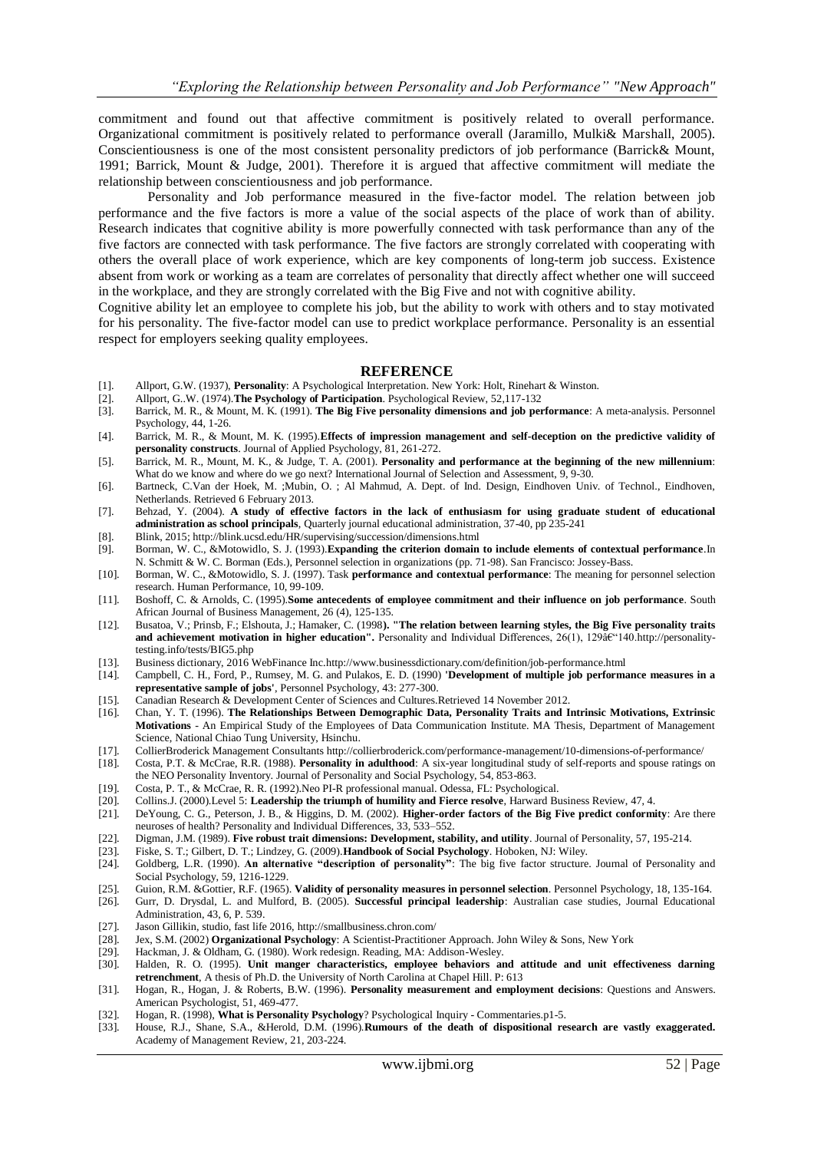commitment and found out that affective commitment is positively related to overall performance. Organizational commitment is positively related to performance overall (Jaramillo, Mulki& Marshall, 2005). Conscientiousness is one of the most consistent personality predictors of job performance (Barrick& Mount, 1991; Barrick, Mount & Judge, 2001). Therefore it is argued that affective commitment will mediate the relationship between conscientiousness and job performance.

Personality and Job performance measured in the five-factor model. The relation between job performance and the five factors is more a value of the social aspects of the place of work than of ability. Research indicates that cognitive ability is more powerfully connected with task performance than any of the five factors are connected with task performance. The five factors are strongly correlated with cooperating with others the overall place of work experience, which are key components of long-term job success. Existence absent from work or working as a team are correlates of personality that directly affect whether one will succeed in the workplace, and they are strongly correlated with the Big Five and not with cognitive ability.

Cognitive ability let an employee to complete his job, but the ability to work with others and to stay motivated for his personality. The five-factor model can use to predict workplace performance. Personality is an essential respect for employers seeking quality employees.

#### **REFERENCE**

- [1]. Allport, G.W. (1937), **Personality**: A Psychological Interpretation. New York: Holt, Rinehart & Winston.
- [2]. Allport, G..W. (1974).**The Psychology of Participation**. Psychological Review, 52,117-132
- [3]. Barrick, M. R., & Mount, M. K. (1991). **The Big Five personality dimensions and job performance**: A meta-analysis. Personnel Psychology, 44, 1-26.
- [4]. Barrick, M. R., & Mount, M. K. (1995).**Effects of impression management and self-deception on the predictive validity of personality constructs**. Journal of Applied Psychology, 81, 261-272.
- [5]. Barrick, M. R., Mount, M. K., & Judge, T. A. (2001). **Personality and performance at the beginning of the new millennium**: What do we know and where do we go next? International Journal of Selection and Assessment, 9, 9-30.
- [6]. Bartneck, C.Van der Hoek, M. ;Mubin, O. ; Al Mahmud, A. Dept. of Ind. Design, Eindhoven Univ. of Technol., Eindhoven, Netherlands. Retrieved 6 February 2013.
- [7]. Behzad, Y. (2004). **A study of effective factors in the lack of enthusiasm for using graduate student of educational administration as school principals**, Quarterly journal educational administration, 37-40, pp 235-241
- [8]. Blink, 2015; http://blink.ucsd.edu/HR/supervising/succession/dimensions.html
- [9]. Borman, W. C., &Motowidlo, S. J. (1993).**Expanding the criterion domain to include elements of contextual performance**.In N. Schmitt & W. C. Borman (Eds.), Personnel selection in organizations (pp. 71-98). San Francisco: Jossey-Bass.
- [10]. Borman, W. C., &Motowidlo, S. J. (1997). Task **performance and contextual performance**: The meaning for personnel selection research. Human Performance, 10, 99-109.
- [11]. Boshoff, C. & Arnolds, C. (1995).**Some antecedents of employee commitment and their influence on job performance**. South African Journal of Business Management, 26 (4), 125-135.
- [12]. Busatoa, V.; Prinsb, F.; Elshouta, J.; Hamaker, C. (1998**). "The relation between learning styles, the Big Five personality traits**  and achievement motivation in higher education". Personality and Individual Differences, 26(1), 129 $\tilde{a}$ e<sup> $(140.$ http://personality-</sup> [testing.info/tests/BIG5.php](http://personality-testing.info/tests/BIG5.php)
- [13]. Business dictionary, 2016 WebFinance In[c.http://www.businessdictionary.com/definition/job-performance.html](http://www.businessdictionary.com/definition/job-performance.html)
- [14]. Campbell, C. H., Ford, P., Rumsey, M. G. and Pulakos, E. D. (1990) **'Development of multiple job performance measures in a representative sample of jobs'**, Personnel Psychology, 43: 277-300.
- [15]. Canadian Research & Development Center of Sciences and Cultures.Retrieved 14 November 2012.<br>[16]. Chan, Y. T. (1996). The Relationships Between Demographic Data, Personality Traits and I
- [16]. Chan, Y. T. (1996). **The Relationships Between Demographic Data, Personality Traits and Intrinsic Motivations, Extrinsic Motivations** - An Empirical Study of the Employees of Data Communication Institute. MA Thesis, Department of Management Science, National Chiao Tung University, Hsinchu.
- [17]. CollierBroderick Management Consultants http://collierbroderick.com/performance-management/10-dimensions-of-performance/<br>[18]. Costa, P.T. & McCrae, R.R. (1988). Personality in adulthood: A six-vear longitudinal stud
- [18]. Costa, P.T. & McCrae, R.R. (1988). **Personality in adulthood**: A six-year longitudinal study of self-reports and spouse ratings on the NEO Personality Inventory. Journal of Personality and Social Psychology, 54, 853-863.
- 
- [19]. Costa, P. T., & McCrae, R. R. (1992). Neo PI-R professional manual. Odessa, FL: Psychological. [20]. Collins.J. (2000). Level 5: Leadership the triumph of humility and Fierce resolve, Harward Bu
- [20]. Collins.J. (2000).Level 5: **Leadership the triumph of humility and Fierce resolve**, Harward Business Review, 47, 4. [21]. DeYoung, C. G., Peterson, J. B., & Higgins, D. M. (2002). **Higher-order factors of the Big Five predict conformity**: Are there neuroses of health? Personality and Individual Differences, 33, 533–552.
- [22]. Digman, J.M. (1989). **Five robust trait dimensions: Development, stability, and utility**. Journal of Personality, 57, 195-214.
- [23]. Fiske, S. T.; Gilbert, D. T.; Lindzey, G. (2009).**Handbook of Social Psychology**. Hoboken, NJ: Wiley.
- [24]. Goldberg, L.R. (1990). **An alternative "description of personality"**: The big five factor structure. Journal of Personality and Social Psychology, 59, 1216-1229.
- [25]. Guion, R.M. &Gottier, R.F. (1965). **Validity of personality measures in personnel selection**. Personnel Psychology, 18, 135-164. [26]. Gurr, D. Drysdal, L. and Mulford, B. (2005). Successful principal leadership: Aus
- [26]. Gurr, D. Drysdal, L. and Mulford, B. (2005). **Successful principal leadership**: Australian case studies, Journal Educational Administration, 43, 6, P. 539.
- [27]. Jason Gillikin, studio, fast life 2016[, http://smallbusiness.chron.com/](http://smallbusiness.chron.com/)
- [28]. Jex, S.M. (2002) **Organizational Psychology**: A Scientist-Practitioner Approach. John Wiley & Sons, New York
- [29]. Hackman, J. & Oldham, G. (1980). Work redesign. Reading, MA: Addison-Wesley.
- [30]. Halden, R. O. (1995). **Unit manger characteristics, employee behaviors and attitude and unit effectiveness darning retrenchment**, A thesis of Ph.D. the University of North Carolina at Chapel Hill. P: 613
- [31]. Hogan, R., Hogan, J. & Roberts, B.W. (1996). **Personality measurement and employment decisions**: Questions and Answers. American Psychologist, 51, 469-477.
- [32]. Hogan, R. (1998), **What is Personality Psychology**? Psychological Inquiry Commentaries.p1-5.
- House, R.J., Shane, S.A., &Herold, D.M. (1996).Rumours of the death of dispositional research are vastly exaggerated. Academy of Management Review, 21, 203-224.